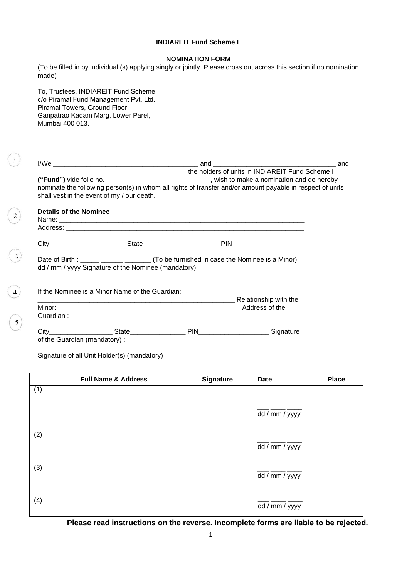### **INDIAREIT Fund Scheme I**

## **NOMINATION FORM**

(To be filled in by individual (s) applying singly or jointly. Please cross out across this section if no nomination made)

To, Trustees, INDIAREIT Fund Scheme I c/o Piramal Fund Management Pvt. Ltd. Piramal Towers, Ground Floor, Ganpatrao Kadam Marg, Lower Parel, Mumbai 400 013.

 $\vert 1 \vert$ 

 $\begin{smallmatrix} 2 \ 2 \end{smallmatrix}$ 

 $\begin{array}{c}\n\circ \\
\circ \\
\circ \\
\circ\n\end{array}$ 

|                               | shall vest in the event of my / our death.           | the holders of units in INDIAREIT Fund Scheme I                                      | ("Fund") vide folio no. _________________________________, wish to make a nomination and do hereby<br>nominate the following person(s) in whom all rights of transfer and/or amount payable in respect of units |
|-------------------------------|------------------------------------------------------|--------------------------------------------------------------------------------------|-----------------------------------------------------------------------------------------------------------------------------------------------------------------------------------------------------------------|
| <b>Details of the Nominee</b> |                                                      |                                                                                      |                                                                                                                                                                                                                 |
|                               |                                                      |                                                                                      |                                                                                                                                                                                                                 |
|                               |                                                      |                                                                                      |                                                                                                                                                                                                                 |
|                               | dd / mm / yyyy Signature of the Nominee (mandatory): | Date of Birth : _____ ______ ______ (To be furnished in case the Nominee is a Minor) |                                                                                                                                                                                                                 |
|                               | If the Nominee is a Minor Name of the Guardian:      |                                                                                      |                                                                                                                                                                                                                 |
|                               |                                                      |                                                                                      |                                                                                                                                                                                                                 |
|                               |                                                      |                                                                                      |                                                                                                                                                                                                                 |
|                               |                                                      |                                                                                      |                                                                                                                                                                                                                 |

Signature of all Unit Holder(s) (mandatory)

|     | <b>Full Name &amp; Address</b> | Signature | <b>Date</b>    | <b>Place</b> |
|-----|--------------------------------|-----------|----------------|--------------|
| (1) |                                |           |                |              |
|     |                                |           |                |              |
|     |                                |           | dd / mm / yyyy |              |
|     |                                |           |                |              |
| (2) |                                |           |                |              |
|     |                                |           | dd / mm / yyyy |              |
|     |                                |           |                |              |
| (3) |                                |           | dd / mm / yyyy |              |
|     |                                |           |                |              |
|     |                                |           |                |              |
| (4) |                                |           | dd / mm / yyyy |              |
|     |                                |           |                |              |

**Please read instructions on the reverse. Incomplete forms are liable to be rejected.**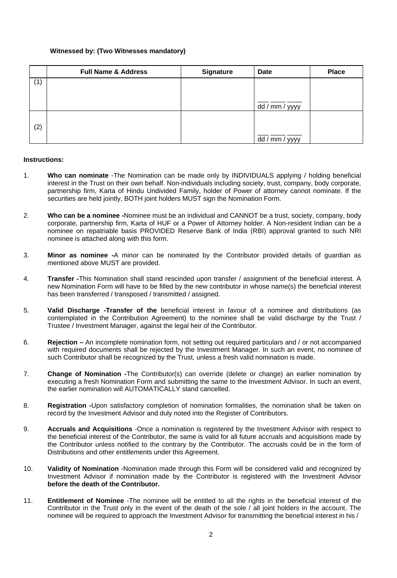## **Witnessed by: (Two Witnesses mandatory)**

|     | <b>Full Name &amp; Address</b> | <b>Signature</b> | <b>Date</b>    | <b>Place</b> |
|-----|--------------------------------|------------------|----------------|--------------|
| (1) |                                |                  |                |              |
|     |                                |                  |                |              |
|     |                                |                  | dd / mm / yyyy |              |
|     |                                |                  |                |              |
| (2) |                                |                  |                |              |
|     |                                |                  | dd / mm / yyyy |              |

### **Instructions:**

- 1. **Who can nominate** -The Nomination can be made only by INDIVIDUALS applying / holding beneficial interest in the Trust on their own behalf. Non-individuals including society, trust, company, body corporate, partnership firm, Karta of Hindu Undivided Family, holder of Power of attorney cannot nominate. If the securities are held jointly, BOTH joint holders MUST sign the Nomination Form.
- 2. **Who can be a nominee -**Nominee must be an individual and CANNOT be a trust, society, company, body corporate, partnership firm, Karta of HUF or a Power of Attorney holder. A Non-resident Indian can be a nominee on repatriable basis PROVIDED Reserve Bank of India (RBI) approval granted to such NRI nominee is attached along with this form.
- 3. **Minor as nominee -**A minor can be nominated by the Contributor provided details of guardian as mentioned above MUST are provided.
- 4. **Transfer -**This Nomination shall stand rescinded upon transfer / assignment of the beneficial interest. A new Nomination Form will have to be filled by the new contributor in whose name(s) the beneficial interest has been transferred / transposed / transmitted / assigned.
- 5. **Valid Discharge -Transfer of the** beneficial interest in favour of a nominee and distributions (as contemplated in the Contribution Agreement) to the nominee shall be valid discharge by the Trust / Trustee / Investment Manager, against the legal heir of the Contributor.
- 6. **Rejection** An incomplete nomination form, not setting out required particulars and / or not accompanied with required documents shall be rejected by the Investment Manager. In such an event, no nominee of such Contributor shall be recognized by the Trust, unless a fresh valid nomination is made.
- 7. **Change of Nomination -**The Contributor(s) can override (delete or change) an earlier nomination by executing a fresh Nomination Form and submitting the same to the Investment Advisor. In such an event, the earlier nomination will AUTOMATICALLY stand cancelled.
- 8. **Registration -**Upon satisfactory completion of nomination formalities, the nomination shall be taken on record by the Investment Advisor and duly noted into the Register of Contributors.
- 9. **Accruals and Acquisitions** -Once a nomination is registered by the Investment Advisor with respect to the beneficial interest of the Contributor, the same is valid for all future accruals and acquisitions made by the Contributor unless notified to the contrary by the Contributor. The accruals could be in the form of Distributions and other entitlements under this Agreement.
- 10. **Validity of Nomination** -Nomination made through this Form will be considered valid and recognized by Investment Advisor if nomination made by the Contributor is registered with the Investment Advisor **before the death of the Contributor.**
- 11. **Entitlement of Nominee** -The nominee will be entitled to all the rights in the beneficial interest of the Contributor in the Trust only in the event of the death of the sole / all joint holders in the account. The nominee will be required to approach the Investment Advisor for transmitting the beneficial interest in his /